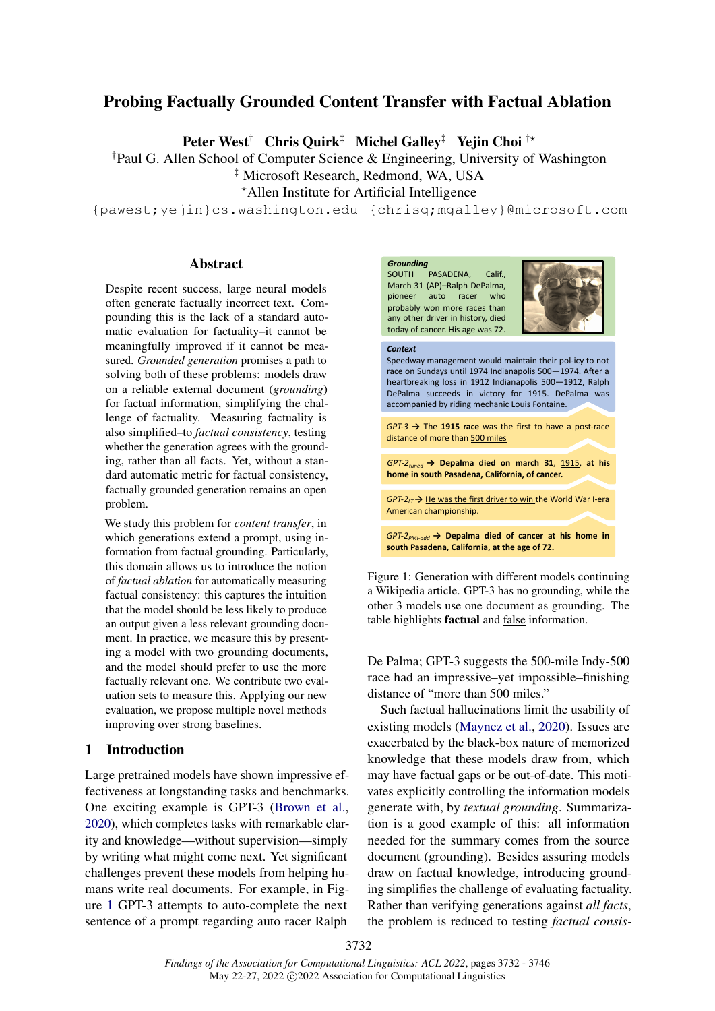# Probing Factually Grounded Content Transfer with Factual Ablation

Peter West<sup>†</sup> Chris Quirk<sup>‡</sup> Michel Galley<sup>‡</sup> Yejin Choi<sup>†\*</sup>

†Paul G. Allen School of Computer Science & Engineering, University of Washington

‡ Microsoft Research, Redmond, WA, USA

<sup>⋆</sup>Allen Institute for Artificial Intelligence

{pawest;yejin}cs.washington.edu {chrisq;mgalley}@microsoft.com

### Abstract

Despite recent success, large neural models often generate factually incorrect text. Compounding this is the lack of a standard automatic evaluation for factuality–it cannot be meaningfully improved if it cannot be measured. *Grounded generation* promises a path to solving both of these problems: models draw on a reliable external document (*grounding*) for factual information, simplifying the challenge of factuality. Measuring factuality is also simplified–to *factual consistency*, testing whether the generation agrees with the grounding, rather than all facts. Yet, without a standard automatic metric for factual consistency, factually grounded generation remains an open problem.

We study this problem for *content transfer*, in which generations extend a prompt, using information from factual grounding. Particularly, this domain allows us to introduce the notion of *factual ablation* for automatically measuring factual consistency: this captures the intuition that the model should be less likely to produce an output given a less relevant grounding document. In practice, we measure this by presenting a model with two grounding documents, and the model should prefer to use the more factually relevant one. We contribute two evaluation sets to measure this. Applying our new evaluation, we propose multiple novel methods improving over strong baselines.

# 1 Introduction

Large pretrained models have shown impressive effectiveness at longstanding tasks and benchmarks. One exciting example is GPT-3 [\(Brown et al.,](#page-9-0) [2020\)](#page-9-0), which completes tasks with remarkable clarity and knowledge—without supervision—simply by writing what might come next. Yet significant challenges prevent these models from helping humans write real documents. For example, in Figure [1](#page-0-0) GPT-3 attempts to auto-complete the next sentence of a prompt regarding auto racer Ralph

<span id="page-0-0"></span>

Figure 1: Generation with different models continuing a Wikipedia article. GPT-3 has no grounding, while the other 3 models use one document as grounding. The table highlights factual and false information.

De Palma; GPT-3 suggests the 500-mile Indy-500 race had an impressive–yet impossible–finishing distance of "more than 500 miles."

Such factual hallucinations limit the usability of existing models [\(Maynez et al.,](#page-9-1) [2020\)](#page-9-1). Issues are exacerbated by the black-box nature of memorized knowledge that these models draw from, which may have factual gaps or be out-of-date. This motivates explicitly controlling the information models generate with, by *textual grounding*. Summarization is a good example of this: all information needed for the summary comes from the source document (grounding). Besides assuring models draw on factual knowledge, introducing grounding simplifies the challenge of evaluating factuality. Rather than verifying generations against *all facts*, the problem is reduced to testing *factual consis-*

3732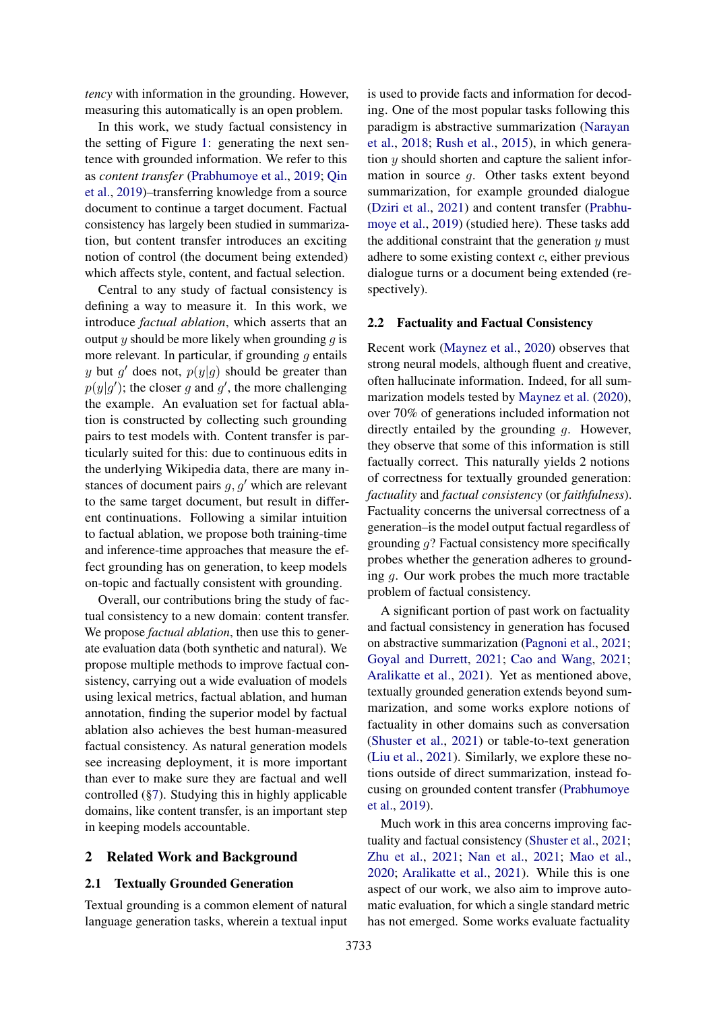*tency* with information in the grounding. However, measuring this automatically is an open problem.

In this work, we study factual consistency in the setting of Figure [1:](#page-0-0) generating the next sentence with grounded information. We refer to this as *content transfer* [\(Prabhumoye et al.,](#page-10-0) [2019;](#page-10-0) [Qin](#page-10-1) [et al.,](#page-10-1) [2019\)](#page-10-1)–transferring knowledge from a source document to continue a target document. Factual consistency has largely been studied in summarization, but content transfer introduces an exciting notion of control (the document being extended) which affects style, content, and factual selection.

Central to any study of factual consistency is defining a way to measure it. In this work, we introduce *factual ablation*, which asserts that an output y should be more likely when grounding  $q$  is more relevant. In particular, if grounding  $q$  entails y but g' does not,  $p(y|g)$  should be greater than  $p(y|g')$ ; the closer g and g', the more challenging the example. An evaluation set for factual ablation is constructed by collecting such grounding pairs to test models with. Content transfer is particularly suited for this: due to continuous edits in the underlying Wikipedia data, there are many instances of document pairs  $g, g'$  which are relevant to the same target document, but result in different continuations. Following a similar intuition to factual ablation, we propose both training-time and inference-time approaches that measure the effect grounding has on generation, to keep models on-topic and factually consistent with grounding.

Overall, our contributions bring the study of factual consistency to a new domain: content transfer. We propose *factual ablation*, then use this to generate evaluation data (both synthetic and natural). We propose multiple methods to improve factual consistency, carrying out a wide evaluation of models using lexical metrics, factual ablation, and human annotation, finding the superior model by factual ablation also achieves the best human-measured factual consistency. As natural generation models see increasing deployment, it is more important than ever to make sure they are factual and well controlled ([§7\)](#page-8-0). Studying this in highly applicable domains, like content transfer, is an important step in keeping models accountable.

# 2 Related Work and Background

#### 2.1 Textually Grounded Generation

Textual grounding is a common element of natural language generation tasks, wherein a textual input is used to provide facts and information for decoding. One of the most popular tasks following this paradigm is abstractive summarization [\(Narayan](#page-10-2) [et al.,](#page-10-2) [2018;](#page-10-2) [Rush et al.,](#page-10-3) [2015\)](#page-10-3), in which generation y should shorten and capture the salient information in source g. Other tasks extent beyond summarization, for example grounded dialogue [\(Dziri et al.,](#page-9-2) [2021\)](#page-9-2) and content transfer [\(Prabhu](#page-10-0)[moye et al.,](#page-10-0) [2019\)](#page-10-0) (studied here). These tasks add the additional constraint that the generation  $y$  must adhere to some existing context  $c$ , either previous dialogue turns or a document being extended (respectively).

## <span id="page-1-0"></span>2.2 Factuality and Factual Consistency

Recent work [\(Maynez et al.,](#page-9-1) [2020\)](#page-9-1) observes that strong neural models, although fluent and creative, often hallucinate information. Indeed, for all summarization models tested by [Maynez et al.](#page-9-1) [\(2020\)](#page-9-1), over 70% of generations included information not directly entailed by the grounding g. However, they observe that some of this information is still factually correct. This naturally yields 2 notions of correctness for textually grounded generation: *factuality* and *factual consistency* (or *faithfulness*). Factuality concerns the universal correctness of a generation–is the model output factual regardless of grounding  $q$ ? Factual consistency more specifically probes whether the generation adheres to grounding  $q$ . Our work probes the much more tractable problem of factual consistency.

A significant portion of past work on factuality and factual consistency in generation has focused on abstractive summarization [\(Pagnoni et al.,](#page-10-4) [2021;](#page-10-4) [Goyal and Durrett,](#page-9-3) [2021;](#page-9-3) [Cao and Wang,](#page-9-4) [2021;](#page-9-4) [Aralikatte et al.,](#page-8-1) [2021\)](#page-8-1). Yet as mentioned above, textually grounded generation extends beyond summarization, and some works explore notions of factuality in other domains such as conversation [\(Shuster et al.,](#page-10-5) [2021\)](#page-10-5) or table-to-text generation [\(Liu et al.,](#page-9-5) [2021\)](#page-9-5). Similarly, we explore these notions outside of direct summarization, instead focusing on grounded content transfer [\(Prabhumoye](#page-10-0) [et al.,](#page-10-0) [2019\)](#page-10-0).

Much work in this area concerns improving factuality and factual consistency [\(Shuster et al.,](#page-10-5) [2021;](#page-10-5) [Zhu et al.,](#page-10-6) [2021;](#page-10-6) [Nan et al.,](#page-10-7) [2021;](#page-10-7) [Mao et al.,](#page-9-6) [2020;](#page-9-6) [Aralikatte et al.,](#page-8-1) [2021\)](#page-8-1). While this is one aspect of our work, we also aim to improve automatic evaluation, for which a single standard metric has not emerged. Some works evaluate factuality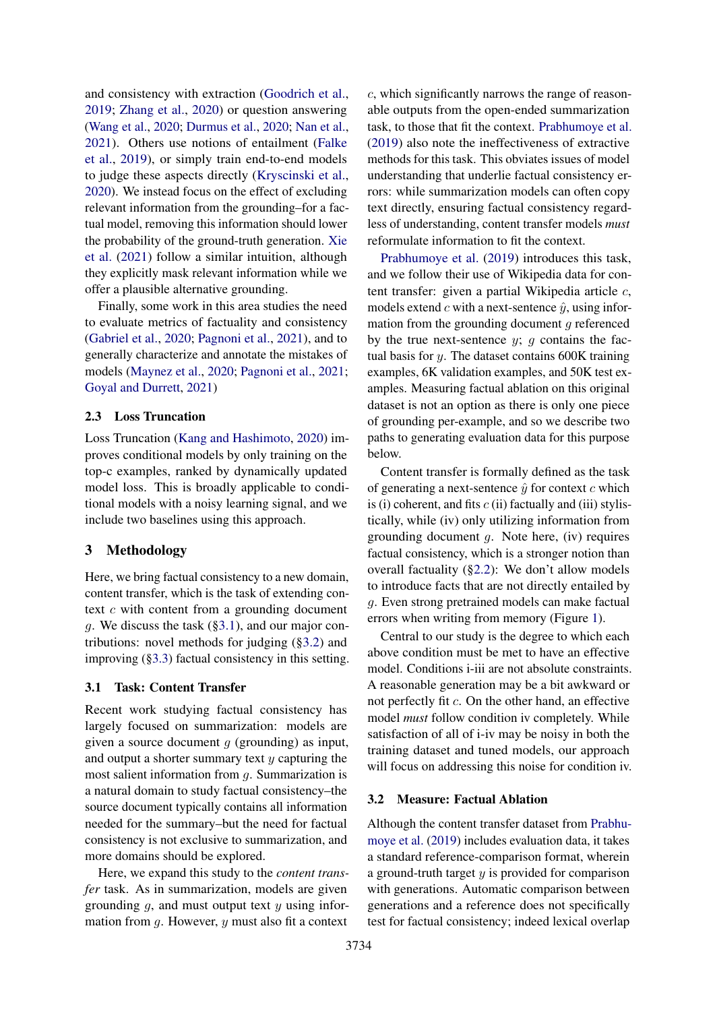and consistency with extraction [\(Goodrich et al.,](#page-9-7) [2019;](#page-9-7) [Zhang et al.,](#page-10-8) [2020\)](#page-10-8) or question answering [\(Wang et al.,](#page-10-9) [2020;](#page-10-9) [Durmus et al.,](#page-9-8) [2020;](#page-9-8) [Nan et al.,](#page-10-7) [2021\)](#page-10-7). Others use notions of entailment [\(Falke](#page-9-9) [et al.,](#page-9-9) [2019\)](#page-9-9), or simply train end-to-end models to judge these aspects directly [\(Kryscinski et al.,](#page-9-10) [2020\)](#page-9-10). We instead focus on the effect of excluding relevant information from the grounding–for a factual model, removing this information should lower the probability of the ground-truth generation. [Xie](#page-10-10) [et al.](#page-10-10) [\(2021\)](#page-10-10) follow a similar intuition, although they explicitly mask relevant information while we offer a plausible alternative grounding.

Finally, some work in this area studies the need to evaluate metrics of factuality and consistency [\(Gabriel et al.,](#page-9-11) [2020;](#page-9-11) [Pagnoni et al.,](#page-10-4) [2021\)](#page-10-4), and to generally characterize and annotate the mistakes of models [\(Maynez et al.,](#page-9-1) [2020;](#page-9-1) [Pagnoni et al.,](#page-10-4) [2021;](#page-10-4) [Goyal and Durrett,](#page-9-3) [2021\)](#page-9-3)

# 2.3 Loss Truncation

Loss Truncation [\(Kang and Hashimoto,](#page-9-12) [2020\)](#page-9-12) improves conditional models by only training on the top-c examples, ranked by dynamically updated model loss. This is broadly applicable to conditional models with a noisy learning signal, and we include two baselines using this approach.

# 3 Methodology

Here, we bring factual consistency to a new domain, content transfer, which is the task of extending context  $c$  with content from a grounding document g. We discuss the task  $(\S3.1)$ , and our major contributions: novel methods for judging ([§3.2\)](#page-2-1) and improving ([§3.3\)](#page-4-0) factual consistency in this setting.

#### <span id="page-2-0"></span>3.1 Task: Content Transfer

Recent work studying factual consistency has largely focused on summarization: models are given a source document  $q$  (grounding) as input, and output a shorter summary text  $y$  capturing the most salient information from g. Summarization is a natural domain to study factual consistency–the source document typically contains all information needed for the summary–but the need for factual consistency is not exclusive to summarization, and more domains should be explored.

Here, we expand this study to the *content transfer* task. As in summarization, models are given grounding  $q$ , and must output text  $y$  using information from  $g$ . However,  $y$  must also fit a context

c, which significantly narrows the range of reasonable outputs from the open-ended summarization task, to those that fit the context. [Prabhumoye et al.](#page-10-0) [\(2019\)](#page-10-0) also note the ineffectiveness of extractive methods for this task. This obviates issues of model understanding that underlie factual consistency errors: while summarization models can often copy text directly, ensuring factual consistency regardless of understanding, content transfer models *must* reformulate information to fit the context.

[Prabhumoye et al.](#page-10-0) [\(2019\)](#page-10-0) introduces this task, and we follow their use of Wikipedia data for content transfer: given a partial Wikipedia article c, models extend c with a next-sentence  $\hat{y}$ , using information from the grounding document  $q$  referenced by the true next-sentence  $y$ ;  $q$  contains the factual basis for y. The dataset contains 600K training examples, 6K validation examples, and 50K test examples. Measuring factual ablation on this original dataset is not an option as there is only one piece of grounding per-example, and so we describe two paths to generating evaluation data for this purpose below.

Content transfer is formally defined as the task of generating a next-sentence  $\hat{y}$  for context c which is (i) coherent, and fits  $c$  (ii) factually and (iii) stylistically, while (iv) only utilizing information from grounding document g. Note here, (iv) requires factual consistency, which is a stronger notion than overall factuality ([§2.2\)](#page-1-0): We don't allow models to introduce facts that are not directly entailed by g. Even strong pretrained models can make factual errors when writing from memory (Figure [1\)](#page-0-0).

Central to our study is the degree to which each above condition must be met to have an effective model. Conditions i-iii are not absolute constraints. A reasonable generation may be a bit awkward or not perfectly fit c. On the other hand, an effective model *must* follow condition iv completely. While satisfaction of all of i-iv may be noisy in both the training dataset and tuned models, our approach will focus on addressing this noise for condition iv.

## <span id="page-2-1"></span>3.2 Measure: Factual Ablation

Although the content transfer dataset from [Prabhu](#page-10-0)[moye et al.](#page-10-0) [\(2019\)](#page-10-0) includes evaluation data, it takes a standard reference-comparison format, wherein a ground-truth target  $y$  is provided for comparison with generations. Automatic comparison between generations and a reference does not specifically test for factual consistency; indeed lexical overlap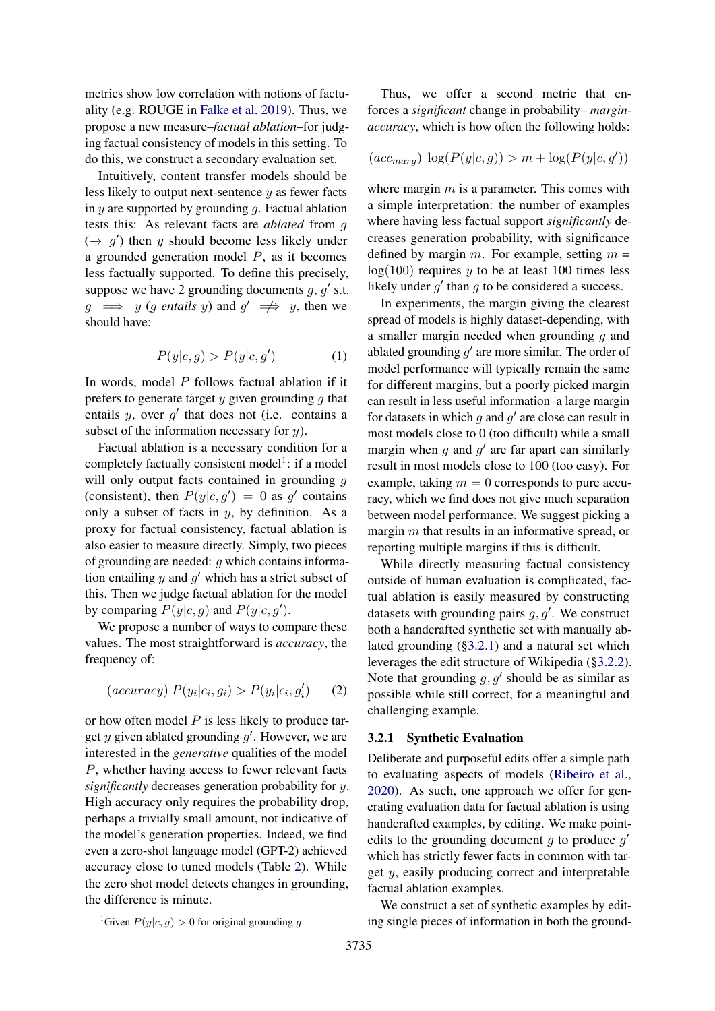metrics show low correlation with notions of factuality (e.g. ROUGE in [Falke et al.](#page-9-9) [2019\)](#page-9-9). Thus, we propose a new measure–*factual ablation*–for judging factual consistency of models in this setting. To do this, we construct a secondary evaluation set.

Intuitively, content transfer models should be less likely to output next-sentence  $y$  as fewer facts in  $y$  are supported by grounding  $q$ . Factual ablation tests this: As relevant facts are *ablated* from g  $(\rightarrow g')$  then y should become less likely under a grounded generation model  $P$ , as it becomes less factually supported. To define this precisely, suppose we have 2 grounding documents  $g, g'$  s.t.  $g \implies y$  (*g entails y*) and  $g' \implies y$ , then we should have:

$$
P(y|c, g) > P(y|c, g') \tag{1}
$$

In words, model  $P$  follows factual ablation if it prefers to generate target  $y$  given grounding  $q$  that entails  $y$ , over  $g'$  that does not (i.e. contains a subset of the information necessary for  $y$ ).

Factual ablation is a necessary condition for a completely factually consistent model<sup>[1](#page-3-0)</sup>: if a model will only output facts contained in grounding q (consistent), then  $P(y|c, g') = 0$  as g' contains only a subset of facts in  $y$ , by definition. As a proxy for factual consistency, factual ablation is also easier to measure directly. Simply, two pieces of grounding are needed:  $q$  which contains information entailing  $y$  and  $g'$  which has a strict subset of this. Then we judge factual ablation for the model by comparing  $P(y|c, g)$  and  $P(y|c, g')$ .

We propose a number of ways to compare these values. The most straightforward is *accuracy*, the frequency of:

$$
(accuracy) P(y_i|c_i, g_i) > P(y_i|c_i, g'_i)
$$
 (2)

or how often model  $P$  is less likely to produce target  $y$  given ablated grounding  $g'$ . However, we are interested in the *generative* qualities of the model P, whether having access to fewer relevant facts *significantly* decreases generation probability for y. High accuracy only requires the probability drop, perhaps a trivially small amount, not indicative of the model's generation properties. Indeed, we find even a zero-shot language model (GPT-2) achieved accuracy close to tuned models (Table [2\)](#page-6-0). While the zero shot model detects changes in grounding, the difference is minute.

Thus, we offer a second metric that enforces a *significant* change in probability– *marginaccuracy*, which is how often the following holds:

$$
(acc_{marg}) \log(P(y|c, g)) > m + \log(P(y|c, g'))
$$

where margin  $m$  is a parameter. This comes with a simple interpretation: the number of examples where having less factual support *significantly* decreases generation probability, with significance defined by margin m. For example, setting  $m =$  $log(100)$  requires y to be at least 100 times less likely under  $g'$  than  $g$  to be considered a success.

In experiments, the margin giving the clearest spread of models is highly dataset-depending, with a smaller margin needed when grounding  $q$  and ablated grounding  $g'$  are more similar. The order of model performance will typically remain the same for different margins, but a poorly picked margin can result in less useful information–a large margin for datasets in which  $g$  and  $g'$  are close can result in most models close to 0 (too difficult) while a small margin when  $g$  and  $g'$  are far apart can similarly result in most models close to 100 (too easy). For example, taking  $m = 0$  corresponds to pure accuracy, which we find does not give much separation between model performance. We suggest picking a margin m that results in an informative spread, or reporting multiple margins if this is difficult.

While directly measuring factual consistency outside of human evaluation is complicated, factual ablation is easily measured by constructing datasets with grounding pairs  $g, g'$ . We construct both a handcrafted synthetic set with manually ablated grounding ([§3.2.1\)](#page-3-1) and a natural set which leverages the edit structure of Wikipedia ([§3.2.2\)](#page-4-1). Note that grounding  $g, g'$  should be as similar as possible while still correct, for a meaningful and challenging example.

#### <span id="page-3-1"></span>3.2.1 Synthetic Evaluation

Deliberate and purposeful edits offer a simple path to evaluating aspects of models [\(Ribeiro et al.,](#page-10-11) [2020\)](#page-10-11). As such, one approach we offer for generating evaluation data for factual ablation is using handcrafted examples, by editing. We make pointedits to the grounding document  $g$  to produce  $g'$ which has strictly fewer facts in common with target y, easily producing correct and interpretable factual ablation examples.

We construct a set of synthetic examples by editing single pieces of information in both the ground-

<span id="page-3-0"></span><sup>&</sup>lt;sup>1</sup>Given  $P(y|c, g) > 0$  for original grounding q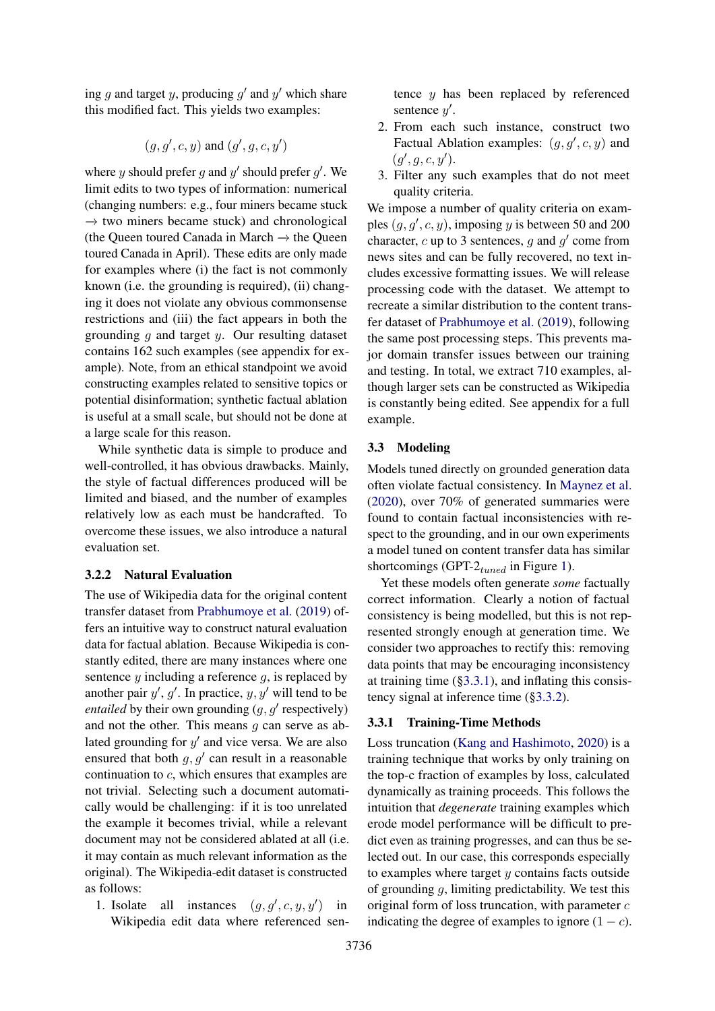ing  $g$  and target  $y$ , producing  $g'$  and  $y'$  which share this modified fact. This yields two examples:

$$
(g, g', c, y) \text{ and } (g', g, c, y')
$$

where y should prefer g and  $y'$  should prefer  $g'$ . We limit edits to two types of information: numerical (changing numbers: e.g., four miners became stuck  $\rightarrow$  two miners became stuck) and chronological (the Queen toured Canada in March  $→$  the Queen toured Canada in April). These edits are only made for examples where (i) the fact is not commonly known (i.e. the grounding is required), (ii) changing it does not violate any obvious commonsense restrictions and (iii) the fact appears in both the grounding  $q$  and target  $y$ . Our resulting dataset contains 162 such examples (see appendix for example). Note, from an ethical standpoint we avoid constructing examples related to sensitive topics or potential disinformation; synthetic factual ablation is useful at a small scale, but should not be done at a large scale for this reason.

While synthetic data is simple to produce and well-controlled, it has obvious drawbacks. Mainly, the style of factual differences produced will be limited and biased, and the number of examples relatively low as each must be handcrafted. To overcome these issues, we also introduce a natural evaluation set.

## <span id="page-4-1"></span>3.2.2 Natural Evaluation

The use of Wikipedia data for the original content transfer dataset from [Prabhumoye et al.](#page-10-0) [\(2019\)](#page-10-0) offers an intuitive way to construct natural evaluation data for factual ablation. Because Wikipedia is constantly edited, there are many instances where one sentence  $y$  including a reference  $g$ , is replaced by another pair  $y'$ ,  $g'$ . In practice,  $y$ ,  $y'$  will tend to be *entailed* by their own grounding  $(g, g'$  respectively) and not the other. This means  $g$  can serve as ablated grounding for  $y'$  and vice versa. We are also ensured that both  $g, g'$  can result in a reasonable continuation to c, which ensures that examples are not trivial. Selecting such a document automatically would be challenging: if it is too unrelated the example it becomes trivial, while a relevant document may not be considered ablated at all (i.e. it may contain as much relevant information as the original). The Wikipedia-edit dataset is constructed as follows:

1. Isolate all instances  $(g, g', c, y, y')$  in Wikipedia edit data where referenced sentence y has been replaced by referenced sentence y'.

- 2. From each such instance, construct two Factual Ablation examples:  $(g, g', c, y)$  and  $(g', g, c, y').$
- 3. Filter any such examples that do not meet quality criteria.

We impose a number of quality criteria on examples  $(g, g', c, y)$ , imposing y is between 50 and 200 character,  $c$  up to 3 sentences,  $g$  and  $g'$  come from news sites and can be fully recovered, no text includes excessive formatting issues. We will release processing code with the dataset. We attempt to recreate a similar distribution to the content transfer dataset of [Prabhumoye et al.](#page-10-0) [\(2019\)](#page-10-0), following the same post processing steps. This prevents major domain transfer issues between our training and testing. In total, we extract 710 examples, although larger sets can be constructed as Wikipedia is constantly being edited. See appendix for a full example.

### <span id="page-4-0"></span>3.3 Modeling

Models tuned directly on grounded generation data often violate factual consistency. In [Maynez et al.](#page-9-1) [\(2020\)](#page-9-1), over 70% of generated summaries were found to contain factual inconsistencies with respect to the grounding, and in our own experiments a model tuned on content transfer data has similar shortcomings (GPT- $2_{tuned}$  in Figure [1\)](#page-0-0).

Yet these models often generate *some* factually correct information. Clearly a notion of factual consistency is being modelled, but this is not represented strongly enough at generation time. We consider two approaches to rectify this: removing data points that may be encouraging inconsistency at training time  $(\S 3.3.1)$ , and inflating this consistency signal at inference time ([§3.3.2\)](#page-5-0).

# <span id="page-4-2"></span>3.3.1 Training-Time Methods

Loss truncation [\(Kang and Hashimoto,](#page-9-12) [2020\)](#page-9-12) is a training technique that works by only training on the top-c fraction of examples by loss, calculated dynamically as training proceeds. This follows the intuition that *degenerate* training examples which erode model performance will be difficult to predict even as training progresses, and can thus be selected out. In our case, this corresponds especially to examples where target  $y$  contains facts outside of grounding  $g$ , limiting predictability. We test this original form of loss truncation, with parameter  $c$ indicating the degree of examples to ignore  $(1 - c)$ .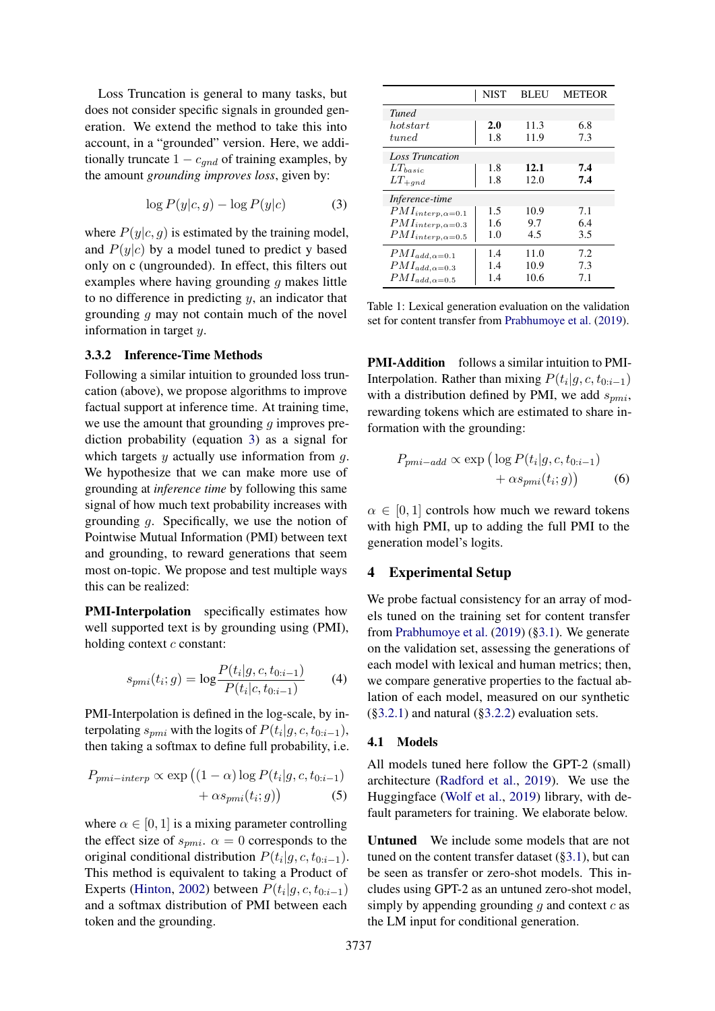Loss Truncation is general to many tasks, but does not consider specific signals in grounded generation. We extend the method to take this into account, in a "grounded" version. Here, we additionally truncate  $1 - c_{qnd}$  of training examples, by the amount *grounding improves loss*, given by:

$$
\log P(y|c, g) - \log P(y|c) \tag{3}
$$

where  $P(y|c, g)$  is estimated by the training model, and  $P(y|c)$  by a model tuned to predict y based only on c (ungrounded). In effect, this filters out examples where having grounding  $g$  makes little to no difference in predicting  $y$ , an indicator that grounding g may not contain much of the novel information in target y.

## <span id="page-5-0"></span>3.3.2 Inference-Time Methods

Following a similar intuition to grounded loss truncation (above), we propose algorithms to improve factual support at inference time. At training time, we use the amount that grounding  $q$  improves prediction probability (equation [3\)](#page-5-1) as a signal for which targets  $y$  actually use information from  $q$ . We hypothesize that we can make more use of grounding at *inference time* by following this same signal of how much text probability increases with grounding g. Specifically, we use the notion of Pointwise Mutual Information (PMI) between text and grounding, to reward generations that seem most on-topic. We propose and test multiple ways this can be realized:

PMI-Interpolation specifically estimates how well supported text is by grounding using (PMI), holding context  $c$  constant:

$$
s_{pmi}(t_i; g) = \log \frac{P(t_i|g, c, t_{0:i-1})}{P(t_i|c, t_{0:i-1})}
$$
(4)

PMI-Interpolation is defined in the log-scale, by interpolating  $s_{pmi}$  with the logits of  $P(t_i|g, c, t_{0:i-1})$ , then taking a softmax to define full probability, i.e.

$$
P_{pmi-interp} \propto \exp\left((1-\alpha)\log P(t_i|g, c, t_{0:i-1}) + \alpha s_{pmi}(t_i; g)\right)
$$
\n(5)

where  $\alpha \in [0, 1]$  is a mixing parameter controlling the effect size of  $s_{\text{pmi}}$ .  $\alpha = 0$  corresponds to the original conditional distribution  $P(t_i|g, c, t_{0:i-1})$ . This method is equivalent to taking a Product of Experts [\(Hinton,](#page-9-13) [2002\)](#page-9-13) between  $P(t_i|g, c, t_{0:i-1})$ and a softmax distribution of PMI between each token and the grounding.

<span id="page-5-2"></span><span id="page-5-1"></span>

|                           | NIST | BLEU | METEOR |
|---------------------------|------|------|--------|
| <b>Tuned</b>              |      |      |        |
| hot start                 | 2.0  | 11.3 | 6.8    |
| $t$ uned                  | 1.8  | 11.9 | 7.3    |
| <b>Loss Truncation</b>    |      |      |        |
| $LT_{basic}$              | 1.8  | 12.1 | 7.4    |
| $LT_{+gnd}$               | 1.8  | 12.0 | 7.4    |
| <i>Inference-time</i>     |      |      |        |
| $PMI_{interp,\alpha=0.1}$ | 1.5  | 10.9 | 7.1    |
| $PMI_{interp,\alpha=0.3}$ | 1.6  | 9.7  | 6.4    |
| $PMI_{interp,\alpha=0.5}$ | 1.0  | 4.5  | 3.5    |
| $PMI_{add,\alpha=0.1}$    | 1.4  | 11.0 | 7.2    |
| $PMI_{add,\alpha=0.3}$    | 1.4  | 10.9 | 7.3    |
| $PMI_{add,\alpha=0.5}$    | 1.4  | 10.6 | 7.1    |

Table 1: Lexical generation evaluation on the validation set for content transfer from [Prabhumoye et al.](#page-10-0) [\(2019\)](#page-10-0).

PMI-Addition follows a similar intuition to PMI-Interpolation. Rather than mixing  $P(t_i|g, c, t_{0:i-1})$ with a distribution defined by PMI, we add  $s_{pmi}$ , rewarding tokens which are estimated to share information with the grounding:

$$
P_{pmi-add} \propto \exp\left(\log P(t_i|g, c, t_{0:i-1}) + \alpha s_{pmi}(t_i; g)\right)
$$
 (6)

 $\alpha \in [0, 1]$  controls how much we reward tokens with high PMI, up to adding the full PMI to the generation model's logits.

# 4 Experimental Setup

We probe factual consistency for an array of models tuned on the training set for content transfer from [Prabhumoye et al.](#page-10-0) [\(2019\)](#page-10-0) ([§3.1\)](#page-2-0). We generate on the validation set, assessing the generations of each model with lexical and human metrics; then, we compare generative properties to the factual ablation of each model, measured on our synthetic ([§3.2.1\)](#page-3-1) and natural ([§3.2.2\)](#page-4-1) evaluation sets.

# 4.1 Models

All models tuned here follow the GPT-2 (small) architecture [\(Radford et al.,](#page-10-12) [2019\)](#page-10-12). We use the Huggingface [\(Wolf et al.,](#page-10-13) [2019\)](#page-10-13) library, with default parameters for training. We elaborate below.

Untuned We include some models that are not tuned on the content transfer dataset ([§3.1\)](#page-2-0), but can be seen as transfer or zero-shot models. This includes using GPT-2 as an untuned zero-shot model, simply by appending grounding q and context  $c$  as the LM input for conditional generation.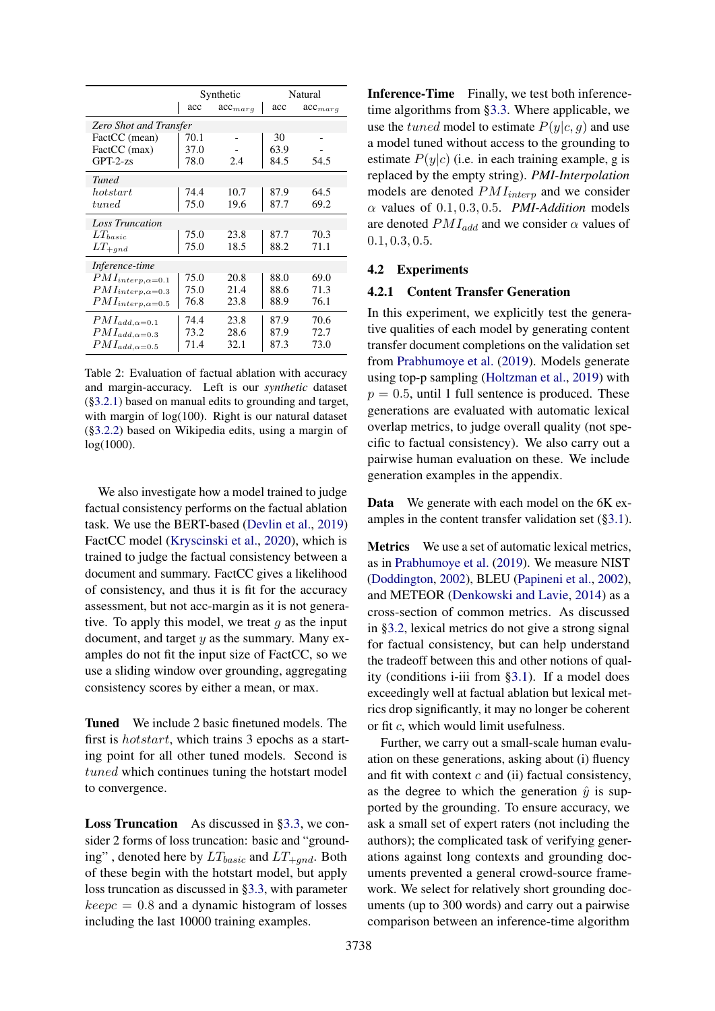<span id="page-6-0"></span>

|                               | Synthetic |              | Natural |              |
|-------------------------------|-----------|--------------|---------|--------------|
|                               | acc       | $acc_{marg}$ | acc     | $acc_{marg}$ |
| <b>Zero Shot and Transfer</b> |           |              |         |              |
| FactCC (mean)                 | 70.1      |              | 30      |              |
| FactCC (max)                  | 37.0      |              | 63.9    |              |
| $GPT-2-zs$                    | 78.0      | 2.4          | 84.5    | 54.5         |
| <b>Tuned</b>                  |           |              |         |              |
| hot start                     | 74.4      | 10.7         | 87.9    | 64.5         |
| tuned                         | 75.0      | 19.6         | 87.7    | 69.2         |
| <b>Loss Truncation</b>        |           |              |         |              |
| $LT_{basic}$                  | 75.0      | 23.8         | 87.7    | 70.3         |
| $LT_{+gnd}$                   | 75.0      | 18.5         | 88.2    | 71.1         |
| Inference-time                |           |              |         |              |
| $PMI_{interp,\alpha=0.1}$     | 75.0      | 20.8         | 88.0    | 69.0         |
| $PMI_{interp,\alpha=0.3}$     | 75.0      | 21.4         | 88.6    | 71.3         |
| $PMI_{interp, \alpha=0.5}$    | 76.8      | 23.8         | 88.9    | 76.1         |
| $PMI_{add, \alpha=0.1}$       | 74.4      | 23.8         | 87.9    | 70.6         |
| $PMI_{add,\alpha=0.3}$        | 73.2      | 28.6         | 87.9    | 72.7         |
| $PMI_{add,\alpha=0.5}$        | 71.4      | 32.1         | 87.3    | 73.0         |

Table 2: Evaluation of factual ablation with accuracy and margin-accuracy. Left is our *synthetic* dataset ([§3.2.1\)](#page-3-1) based on manual edits to grounding and target, with margin of  $log(100)$ . Right is our natural dataset ([§3.2.2\)](#page-4-1) based on Wikipedia edits, using a margin of log(1000).

We also investigate how a model trained to judge factual consistency performs on the factual ablation task. We use the BERT-based [\(Devlin et al.,](#page-9-14) [2019\)](#page-9-14) FactCC model [\(Kryscinski et al.,](#page-9-10) [2020\)](#page-9-10), which is trained to judge the factual consistency between a document and summary. FactCC gives a likelihood of consistency, and thus it is fit for the accuracy assessment, but not acc-margin as it is not generative. To apply this model, we treat  $q$  as the input document, and target  $y$  as the summary. Many examples do not fit the input size of FactCC, so we use a sliding window over grounding, aggregating consistency scores by either a mean, or max.

Tuned We include 2 basic finetuned models. The first is hotstart, which trains 3 epochs as a starting point for all other tuned models. Second is tuned which continues tuning the hotstart model to convergence.

Loss Truncation As discussed in [§3.3,](#page-4-0) we consider 2 forms of loss truncation: basic and "grounding", denoted here by  $LT_{basic}$  and  $LT_{+qnd}$ . Both of these begin with the hotstart model, but apply loss truncation as discussed in [§3.3,](#page-4-0) with parameter  $keepc = 0.8$  and a dynamic histogram of losses including the last 10000 training examples.

Inference-Time Finally, we test both inferencetime algorithms from [§3.3.](#page-4-0) Where applicable, we use the tuned model to estimate  $P(y|c, q)$  and use a model tuned without access to the grounding to estimate  $P(y|c)$  (i.e. in each training example, g is replaced by the empty string). *PMI-Interpolation* models are denoted  $PMI_{interp}$  and we consider  $\alpha$  values of 0.1, 0.3, 0.5. *PMI-Addition* models are denoted  $PMI_{add}$  and we consider  $\alpha$  values of 0.1, 0.3, 0.5.

## 4.2 Experiments

#### 4.2.1 Content Transfer Generation

In this experiment, we explicitly test the generative qualities of each model by generating content transfer document completions on the validation set from [Prabhumoye et al.](#page-10-0) [\(2019\)](#page-10-0). Models generate using top-p sampling [\(Holtzman et al.,](#page-9-15) [2019\)](#page-9-15) with  $p = 0.5$ , until 1 full sentence is produced. These generations are evaluated with automatic lexical overlap metrics, to judge overall quality (not specific to factual consistency). We also carry out a pairwise human evaluation on these. We include generation examples in the appendix.

Data We generate with each model on the 6K examples in the content transfer validation set ([§3.1\)](#page-2-0).

Metrics We use a set of automatic lexical metrics, as in [Prabhumoye et al.](#page-10-0) [\(2019\)](#page-10-0). We measure NIST [\(Doddington,](#page-9-16) [2002\)](#page-9-16), BLEU [\(Papineni et al.,](#page-10-14) [2002\)](#page-10-14), and METEOR [\(Denkowski and Lavie,](#page-9-17) [2014\)](#page-9-17) as a cross-section of common metrics. As discussed in [§3.2,](#page-2-1) lexical metrics do not give a strong signal for factual consistency, but can help understand the tradeoff between this and other notions of quality (conditions i-iii from [§3.1\)](#page-2-0). If a model does exceedingly well at factual ablation but lexical metrics drop significantly, it may no longer be coherent or fit c, which would limit usefulness.

Further, we carry out a small-scale human evaluation on these generations, asking about (i) fluency and fit with context  $c$  and (ii) factual consistency, as the degree to which the generation  $\hat{y}$  is supported by the grounding. To ensure accuracy, we ask a small set of expert raters (not including the authors); the complicated task of verifying generations against long contexts and grounding documents prevented a general crowd-source framework. We select for relatively short grounding documents (up to 300 words) and carry out a pairwise comparison between an inference-time algorithm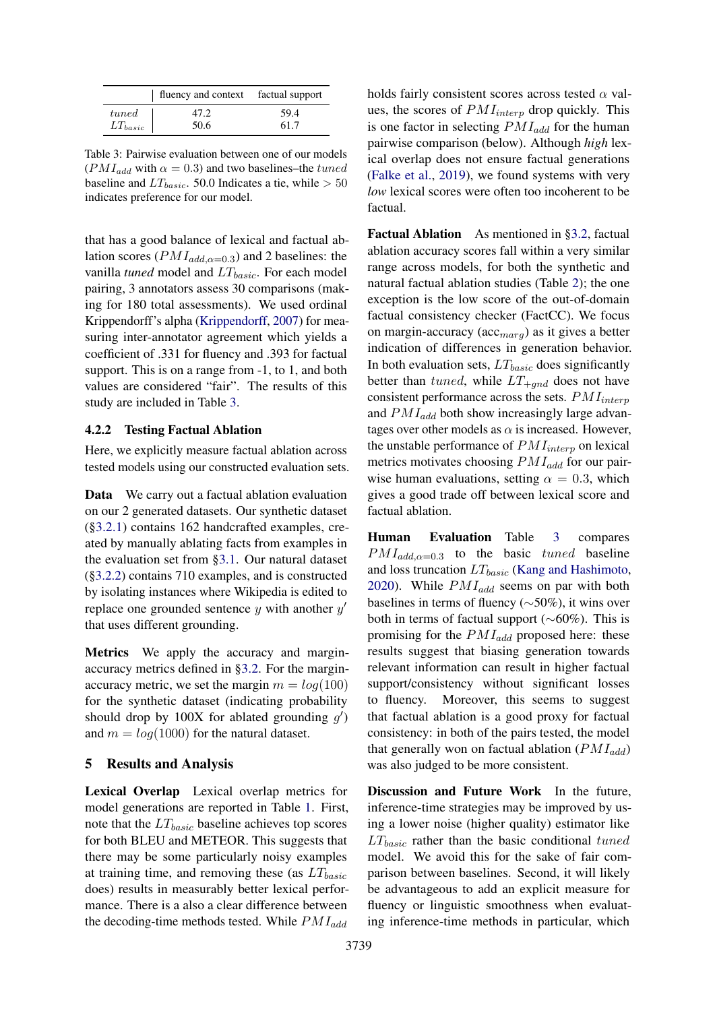<span id="page-7-0"></span>

|              | fluency and context factual support |      |
|--------------|-------------------------------------|------|
| tuned        | 47.2                                | 59.4 |
| $LT_{basic}$ | 50.6                                | 61.7 |

Table 3: Pairwise evaluation between one of our models ( $PMI_{add}$  with  $\alpha = 0.3$ ) and two baselines–the tuned baseline and  $LT_{basic}$ . 50.0 Indicates a tie, while  $> 50$ indicates preference for our model.

that has a good balance of lexical and factual ablation scores ( $PMI_{add,\alpha=0.3}$ ) and 2 baselines: the vanilla *tuned* model and  $LT_{basic}$ . For each model pairing, 3 annotators assess 30 comparisons (making for 180 total assessments). We used ordinal Krippendorff's alpha [\(Krippendorff,](#page-9-18) [2007\)](#page-9-18) for measuring inter-annotator agreement which yields a coefficient of .331 for fluency and .393 for factual support. This is on a range from -1, to 1, and both values are considered "fair". The results of this study are included in Table [3.](#page-7-0)

### 4.2.2 Testing Factual Ablation

Here, we explicitly measure factual ablation across tested models using our constructed evaluation sets.

Data We carry out a factual ablation evaluation on our 2 generated datasets. Our synthetic dataset ([§3.2.1\)](#page-3-1) contains 162 handcrafted examples, created by manually ablating facts from examples in the evaluation set from [§3.1.](#page-2-0) Our natural dataset ([§3.2.2\)](#page-4-1) contains 710 examples, and is constructed by isolating instances where Wikipedia is edited to replace one grounded sentence  $y$  with another  $y'$ that uses different grounding.

Metrics We apply the accuracy and marginaccuracy metrics defined in [§3.2.](#page-2-1) For the marginaccuracy metric, we set the margin  $m = log(100)$ for the synthetic dataset (indicating probability should drop by 100X for ablated grounding  $g'$ ) and  $m = log(1000)$  for the natural dataset.

### 5 Results and Analysis

Lexical Overlap Lexical overlap metrics for model generations are reported in Table [1.](#page-5-2) First, note that the  $LT_{basic}$  baseline achieves top scores for both BLEU and METEOR. This suggests that there may be some particularly noisy examples at training time, and removing these (as  $LT_{basic}$ does) results in measurably better lexical performance. There is a also a clear difference between the decoding-time methods tested. While  $PMI_{add}$ 

holds fairly consistent scores across tested  $\alpha$  values, the scores of  $PMI_{interp}$  drop quickly. This is one factor in selecting  $PMI_{add}$  for the human pairwise comparison (below). Although *high* lexical overlap does not ensure factual generations [\(Falke et al.,](#page-9-9) [2019\)](#page-9-9), we found systems with very *low* lexical scores were often too incoherent to be factual.

Factual Ablation As mentioned in [§3.2,](#page-2-1) factual ablation accuracy scores fall within a very similar range across models, for both the synthetic and natural factual ablation studies (Table [2\)](#page-6-0); the one exception is the low score of the out-of-domain factual consistency checker (FactCC). We focus on margin-accuracy ( $\arccos(a_{\text{max}q})$  as it gives a better indication of differences in generation behavior. In both evaluation sets,  $LT_{basic}$  does significantly better than tuned, while  $LT_{+qnd}$  does not have consistent performance across the sets.  $PMI_{interp}$ and  $PMI_{add}$  both show increasingly large advantages over other models as  $\alpha$  is increased. However, the unstable performance of  $PMI_{interp}$  on lexical metrics motivates choosing  $PMI_{add}$  for our pairwise human evaluations, setting  $\alpha = 0.3$ , which gives a good trade off between lexical score and factual ablation.

Human Evaluation Table [3](#page-7-0) compares  $PMI_{add,\alpha=0.3}$  to the basic tuned baseline and loss truncation  $LT_{basic}$  [\(Kang and Hashimoto,](#page-9-12) [2020\)](#page-9-12). While  $PMI_{add}$  seems on par with both baselines in terms of fluency (∼50%), it wins over both in terms of factual support (∼60%). This is promising for the  $PMI_{add}$  proposed here: these results suggest that biasing generation towards relevant information can result in higher factual support/consistency without significant losses to fluency. Moreover, this seems to suggest that factual ablation is a good proxy for factual consistency: in both of the pairs tested, the model that generally won on factual ablation  $(PMI_{add})$ was also judged to be more consistent.

Discussion and Future Work In the future, inference-time strategies may be improved by using a lower noise (higher quality) estimator like  $LT_{basic}$  rather than the basic conditional tuned model. We avoid this for the sake of fair comparison between baselines. Second, it will likely be advantageous to add an explicit measure for fluency or linguistic smoothness when evaluating inference-time methods in particular, which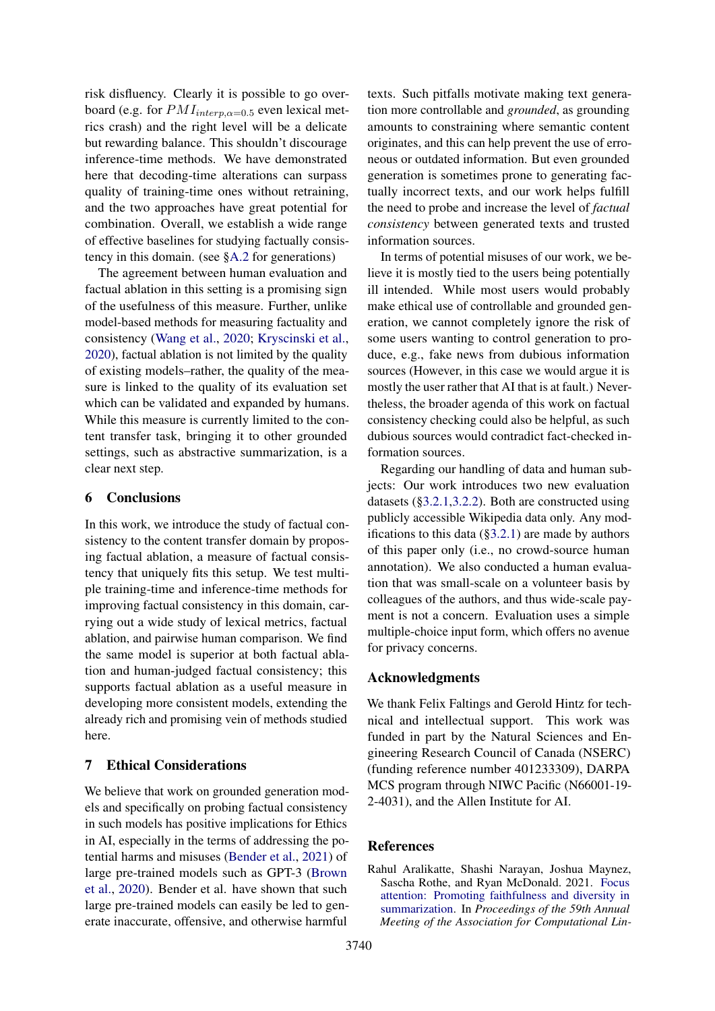risk disfluency. Clearly it is possible to go overboard (e.g. for  $PMI_{interp,\alpha=0.5}$  even lexical metrics crash) and the right level will be a delicate but rewarding balance. This shouldn't discourage inference-time methods. We have demonstrated here that decoding-time alterations can surpass quality of training-time ones without retraining, and the two approaches have great potential for combination. Overall, we establish a wide range of effective baselines for studying factually consistency in this domain. (see [§A.2](#page-11-0) for generations)

The agreement between human evaluation and factual ablation in this setting is a promising sign of the usefulness of this measure. Further, unlike model-based methods for measuring factuality and consistency [\(Wang et al.,](#page-10-9) [2020;](#page-10-9) [Kryscinski et al.,](#page-9-10) [2020\)](#page-9-10), factual ablation is not limited by the quality of existing models–rather, the quality of the measure is linked to the quality of its evaluation set which can be validated and expanded by humans. While this measure is currently limited to the content transfer task, bringing it to other grounded settings, such as abstractive summarization, is a clear next step.

# 6 Conclusions

In this work, we introduce the study of factual consistency to the content transfer domain by proposing factual ablation, a measure of factual consistency that uniquely fits this setup. We test multiple training-time and inference-time methods for improving factual consistency in this domain, carrying out a wide study of lexical metrics, factual ablation, and pairwise human comparison. We find the same model is superior at both factual ablation and human-judged factual consistency; this supports factual ablation as a useful measure in developing more consistent models, extending the already rich and promising vein of methods studied here.

# <span id="page-8-0"></span>7 Ethical Considerations

We believe that work on grounded generation models and specifically on probing factual consistency in such models has positive implications for Ethics in AI, especially in the terms of addressing the potential harms and misuses [\(Bender et al.,](#page-9-19) [2021\)](#page-9-19) of large pre-trained models such as GPT-3 [\(Brown](#page-9-0) [et al.,](#page-9-0) [2020\)](#page-9-0). Bender et al. have shown that such large pre-trained models can easily be led to generate inaccurate, offensive, and otherwise harmful

texts. Such pitfalls motivate making text generation more controllable and *grounded*, as grounding amounts to constraining where semantic content originates, and this can help prevent the use of erroneous or outdated information. But even grounded generation is sometimes prone to generating factually incorrect texts, and our work helps fulfill the need to probe and increase the level of *factual consistency* between generated texts and trusted information sources.

In terms of potential misuses of our work, we believe it is mostly tied to the users being potentially ill intended. While most users would probably make ethical use of controllable and grounded generation, we cannot completely ignore the risk of some users wanting to control generation to produce, e.g., fake news from dubious information sources (However, in this case we would argue it is mostly the user rather that AI that is at fault.) Nevertheless, the broader agenda of this work on factual consistency checking could also be helpful, as such dubious sources would contradict fact-checked information sources.

Regarding our handling of data and human subjects: Our work introduces two new evaluation datasets ([§3.2.1,](#page-3-1)[3.2.2\)](#page-4-1). Both are constructed using publicly accessible Wikipedia data only. Any modifications to this data  $(\S 3.2.1)$  are made by authors of this paper only (i.e., no crowd-source human annotation). We also conducted a human evaluation that was small-scale on a volunteer basis by colleagues of the authors, and thus wide-scale payment is not a concern. Evaluation uses a simple multiple-choice input form, which offers no avenue for privacy concerns.

# Acknowledgments

We thank Felix Faltings and Gerold Hintz for technical and intellectual support. This work was funded in part by the Natural Sciences and Engineering Research Council of Canada (NSERC) (funding reference number 401233309), DARPA MCS program through NIWC Pacific (N66001-19- 2-4031), and the Allen Institute for AI.

# References

<span id="page-8-1"></span>Rahul Aralikatte, Shashi Narayan, Joshua Maynez, Sascha Rothe, and Ryan McDonald. 2021. [Focus](https://doi.org/10.18653/v1/2021.acl-long.474) [attention: Promoting faithfulness and diversity in](https://doi.org/10.18653/v1/2021.acl-long.474) [summarization.](https://doi.org/10.18653/v1/2021.acl-long.474) In *Proceedings of the 59th Annual Meeting of the Association for Computational Lin-*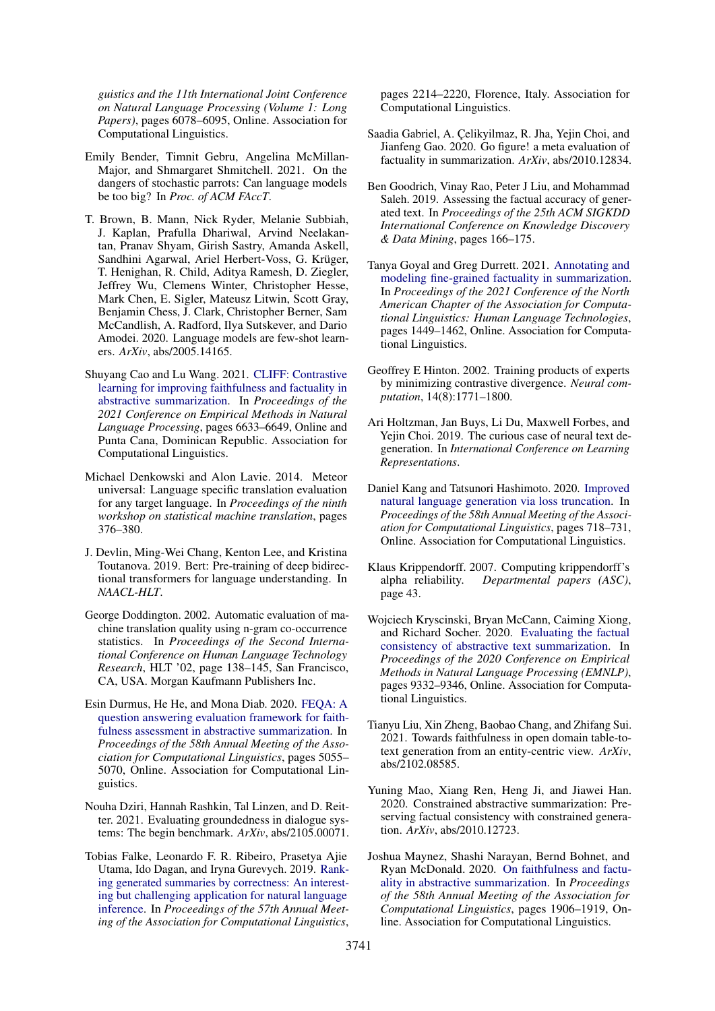*guistics and the 11th International Joint Conference on Natural Language Processing (Volume 1: Long Papers)*, pages 6078–6095, Online. Association for Computational Linguistics.

- <span id="page-9-19"></span>Emily Bender, Timnit Gebru, Angelina McMillan-Major, and Shmargaret Shmitchell. 2021. On the dangers of stochastic parrots: Can language models be too big? In *Proc. of ACM FAccT*.
- <span id="page-9-0"></span>T. Brown, B. Mann, Nick Ryder, Melanie Subbiah, J. Kaplan, Prafulla Dhariwal, Arvind Neelakantan, Pranav Shyam, Girish Sastry, Amanda Askell, Sandhini Agarwal, Ariel Herbert-Voss, G. Krüger, T. Henighan, R. Child, Aditya Ramesh, D. Ziegler, Jeffrey Wu, Clemens Winter, Christopher Hesse, Mark Chen, E. Sigler, Mateusz Litwin, Scott Gray, Benjamin Chess, J. Clark, Christopher Berner, Sam McCandlish, A. Radford, Ilya Sutskever, and Dario Amodei. 2020. Language models are few-shot learners. *ArXiv*, abs/2005.14165.
- <span id="page-9-4"></span>Shuyang Cao and Lu Wang. 2021. [CLIFF: Contrastive](https://doi.org/10.18653/v1/2021.emnlp-main.532) [learning for improving faithfulness and factuality in](https://doi.org/10.18653/v1/2021.emnlp-main.532) [abstractive summarization.](https://doi.org/10.18653/v1/2021.emnlp-main.532) In *Proceedings of the 2021 Conference on Empirical Methods in Natural Language Processing*, pages 6633–6649, Online and Punta Cana, Dominican Republic. Association for Computational Linguistics.
- <span id="page-9-17"></span>Michael Denkowski and Alon Lavie. 2014. Meteor universal: Language specific translation evaluation for any target language. In *Proceedings of the ninth workshop on statistical machine translation*, pages 376–380.
- <span id="page-9-14"></span>J. Devlin, Ming-Wei Chang, Kenton Lee, and Kristina Toutanova. 2019. Bert: Pre-training of deep bidirectional transformers for language understanding. In *NAACL-HLT*.
- <span id="page-9-16"></span>George Doddington. 2002. Automatic evaluation of machine translation quality using n-gram co-occurrence statistics. In *Proceedings of the Second International Conference on Human Language Technology Research*, HLT '02, page 138–145, San Francisco, CA, USA. Morgan Kaufmann Publishers Inc.
- <span id="page-9-8"></span>Esin Durmus, He He, and Mona Diab. 2020. [FEQA: A](https://doi.org/10.18653/v1/2020.acl-main.454) [question answering evaluation framework for faith](https://doi.org/10.18653/v1/2020.acl-main.454)[fulness assessment in abstractive summarization.](https://doi.org/10.18653/v1/2020.acl-main.454) In *Proceedings of the 58th Annual Meeting of the Association for Computational Linguistics*, pages 5055– 5070, Online. Association for Computational Linguistics.
- <span id="page-9-2"></span>Nouha Dziri, Hannah Rashkin, Tal Linzen, and D. Reitter. 2021. Evaluating groundedness in dialogue systems: The begin benchmark. *ArXiv*, abs/2105.00071.
- <span id="page-9-9"></span>Tobias Falke, Leonardo F. R. Ribeiro, Prasetya Ajie Utama, Ido Dagan, and Iryna Gurevych. 2019. [Rank](https://doi.org/10.18653/v1/P19-1213)[ing generated summaries by correctness: An interest](https://doi.org/10.18653/v1/P19-1213)[ing but challenging application for natural language](https://doi.org/10.18653/v1/P19-1213) [inference.](https://doi.org/10.18653/v1/P19-1213) In *Proceedings of the 57th Annual Meeting of the Association for Computational Linguistics*,

pages 2214–2220, Florence, Italy. Association for Computational Linguistics.

- <span id="page-9-11"></span>Saadia Gabriel, A. Çelikyilmaz, R. Jha, Yejin Choi, and Jianfeng Gao. 2020. Go figure! a meta evaluation of factuality in summarization. *ArXiv*, abs/2010.12834.
- <span id="page-9-7"></span>Ben Goodrich, Vinay Rao, Peter J Liu, and Mohammad Saleh. 2019. Assessing the factual accuracy of generated text. In *Proceedings of the 25th ACM SIGKDD International Conference on Knowledge Discovery & Data Mining*, pages 166–175.
- <span id="page-9-3"></span>Tanya Goyal and Greg Durrett. 2021. [Annotating and](https://www.aclweb.org/anthology/2021.naacl-main.114) [modeling fine-grained factuality in summarization.](https://www.aclweb.org/anthology/2021.naacl-main.114) In *Proceedings of the 2021 Conference of the North American Chapter of the Association for Computational Linguistics: Human Language Technologies*, pages 1449–1462, Online. Association for Computational Linguistics.
- <span id="page-9-13"></span>Geoffrey E Hinton. 2002. Training products of experts by minimizing contrastive divergence. *Neural computation*, 14(8):1771–1800.
- <span id="page-9-15"></span>Ari Holtzman, Jan Buys, Li Du, Maxwell Forbes, and Yejin Choi. 2019. The curious case of neural text degeneration. In *International Conference on Learning Representations*.
- <span id="page-9-12"></span>Daniel Kang and Tatsunori Hashimoto. 2020. [Improved](https://doi.org/10.18653/v1/2020.acl-main.66) [natural language generation via loss truncation.](https://doi.org/10.18653/v1/2020.acl-main.66) In *Proceedings of the 58th Annual Meeting of the Association for Computational Linguistics*, pages 718–731, Online. Association for Computational Linguistics.
- <span id="page-9-18"></span>Klaus Krippendorff. 2007. Computing krippendorff's alpha reliability. *Departmental papers (ASC)*, page 43.
- <span id="page-9-10"></span>Wojciech Kryscinski, Bryan McCann, Caiming Xiong, and Richard Socher. 2020. [Evaluating the factual](https://doi.org/10.18653/v1/2020.emnlp-main.750) [consistency of abstractive text summarization.](https://doi.org/10.18653/v1/2020.emnlp-main.750) In *Proceedings of the 2020 Conference on Empirical Methods in Natural Language Processing (EMNLP)*, pages 9332–9346, Online. Association for Computational Linguistics.
- <span id="page-9-5"></span>Tianyu Liu, Xin Zheng, Baobao Chang, and Zhifang Sui. 2021. Towards faithfulness in open domain table-totext generation from an entity-centric view. *ArXiv*, abs/2102.08585.
- <span id="page-9-6"></span>Yuning Mao, Xiang Ren, Heng Ji, and Jiawei Han. 2020. Constrained abstractive summarization: Preserving factual consistency with constrained generation. *ArXiv*, abs/2010.12723.
- <span id="page-9-1"></span>Joshua Maynez, Shashi Narayan, Bernd Bohnet, and Ryan McDonald. 2020. [On faithfulness and factu](https://doi.org/10.18653/v1/2020.acl-main.173)[ality in abstractive summarization.](https://doi.org/10.18653/v1/2020.acl-main.173) In *Proceedings of the 58th Annual Meeting of the Association for Computational Linguistics*, pages 1906–1919, Online. Association for Computational Linguistics.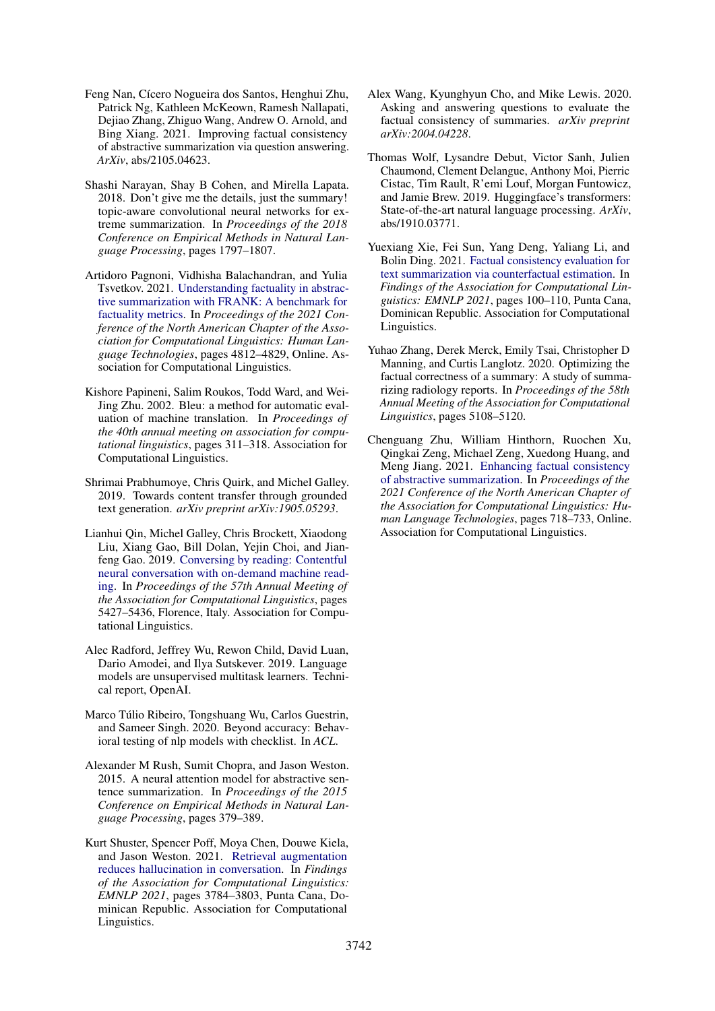- <span id="page-10-7"></span>Feng Nan, Cícero Nogueira dos Santos, Henghui Zhu, Patrick Ng, Kathleen McKeown, Ramesh Nallapati, Dejiao Zhang, Zhiguo Wang, Andrew O. Arnold, and Bing Xiang. 2021. Improving factual consistency of abstractive summarization via question answering. *ArXiv*, abs/2105.04623.
- <span id="page-10-2"></span>Shashi Narayan, Shay B Cohen, and Mirella Lapata. 2018. Don't give me the details, just the summary! topic-aware convolutional neural networks for extreme summarization. In *Proceedings of the 2018 Conference on Empirical Methods in Natural Language Processing*, pages 1797–1807.
- <span id="page-10-4"></span>Artidoro Pagnoni, Vidhisha Balachandran, and Yulia Tsvetkov. 2021. [Understanding factuality in abstrac](https://www.aclweb.org/anthology/2021.naacl-main.383)[tive summarization with FRANK: A benchmark for](https://www.aclweb.org/anthology/2021.naacl-main.383) [factuality metrics.](https://www.aclweb.org/anthology/2021.naacl-main.383) In *Proceedings of the 2021 Conference of the North American Chapter of the Association for Computational Linguistics: Human Language Technologies*, pages 4812–4829, Online. Association for Computational Linguistics.
- <span id="page-10-14"></span>Kishore Papineni, Salim Roukos, Todd Ward, and Wei-Jing Zhu. 2002. Bleu: a method for automatic evaluation of machine translation. In *Proceedings of the 40th annual meeting on association for computational linguistics*, pages 311–318. Association for Computational Linguistics.
- <span id="page-10-0"></span>Shrimai Prabhumoye, Chris Quirk, and Michel Galley. 2019. Towards content transfer through grounded text generation. *arXiv preprint arXiv:1905.05293*.
- <span id="page-10-1"></span>Lianhui Qin, Michel Galley, Chris Brockett, Xiaodong Liu, Xiang Gao, Bill Dolan, Yejin Choi, and Jianfeng Gao. 2019. [Conversing by reading: Contentful](https://doi.org/10.18653/v1/P19-1539) [neural conversation with on-demand machine read](https://doi.org/10.18653/v1/P19-1539)[ing.](https://doi.org/10.18653/v1/P19-1539) In *Proceedings of the 57th Annual Meeting of the Association for Computational Linguistics*, pages 5427–5436, Florence, Italy. Association for Computational Linguistics.
- <span id="page-10-12"></span>Alec Radford, Jeffrey Wu, Rewon Child, David Luan, Dario Amodei, and Ilya Sutskever. 2019. Language models are unsupervised multitask learners. Technical report, OpenAI.
- <span id="page-10-11"></span>Marco Túlio Ribeiro, Tongshuang Wu, Carlos Guestrin, and Sameer Singh. 2020. Beyond accuracy: Behavioral testing of nlp models with checklist. In *ACL*.
- <span id="page-10-3"></span>Alexander M Rush, Sumit Chopra, and Jason Weston. 2015. A neural attention model for abstractive sentence summarization. In *Proceedings of the 2015 Conference on Empirical Methods in Natural Language Processing*, pages 379–389.
- <span id="page-10-5"></span>Kurt Shuster, Spencer Poff, Moya Chen, Douwe Kiela, and Jason Weston. 2021. [Retrieval augmentation](https://doi.org/10.18653/v1/2021.findings-emnlp.320) [reduces hallucination in conversation.](https://doi.org/10.18653/v1/2021.findings-emnlp.320) In *Findings of the Association for Computational Linguistics: EMNLP 2021*, pages 3784–3803, Punta Cana, Dominican Republic. Association for Computational Linguistics.
- <span id="page-10-9"></span>Alex Wang, Kyunghyun Cho, and Mike Lewis. 2020. Asking and answering questions to evaluate the factual consistency of summaries. *arXiv preprint arXiv:2004.04228*.
- <span id="page-10-13"></span>Thomas Wolf, Lysandre Debut, Victor Sanh, Julien Chaumond, Clement Delangue, Anthony Moi, Pierric Cistac, Tim Rault, R'emi Louf, Morgan Funtowicz, and Jamie Brew. 2019. Huggingface's transformers: State-of-the-art natural language processing. *ArXiv*, abs/1910.03771.
- <span id="page-10-10"></span>Yuexiang Xie, Fei Sun, Yang Deng, Yaliang Li, and Bolin Ding. 2021. [Factual consistency evaluation for](https://doi.org/10.18653/v1/2021.findings-emnlp.10) [text summarization via counterfactual estimation.](https://doi.org/10.18653/v1/2021.findings-emnlp.10) In *Findings of the Association for Computational Linguistics: EMNLP 2021*, pages 100–110, Punta Cana, Dominican Republic. Association for Computational Linguistics.
- <span id="page-10-8"></span>Yuhao Zhang, Derek Merck, Emily Tsai, Christopher D Manning, and Curtis Langlotz. 2020. Optimizing the factual correctness of a summary: A study of summarizing radiology reports. In *Proceedings of the 58th Annual Meeting of the Association for Computational Linguistics*, pages 5108–5120.
- <span id="page-10-6"></span>Chenguang Zhu, William Hinthorn, Ruochen Xu, Qingkai Zeng, Michael Zeng, Xuedong Huang, and Meng Jiang. 2021. [Enhancing factual consistency](https://www.aclweb.org/anthology/2021.naacl-main.58) [of abstractive summarization.](https://www.aclweb.org/anthology/2021.naacl-main.58) In *Proceedings of the 2021 Conference of the North American Chapter of the Association for Computational Linguistics: Human Language Technologies*, pages 718–733, Online. Association for Computational Linguistics.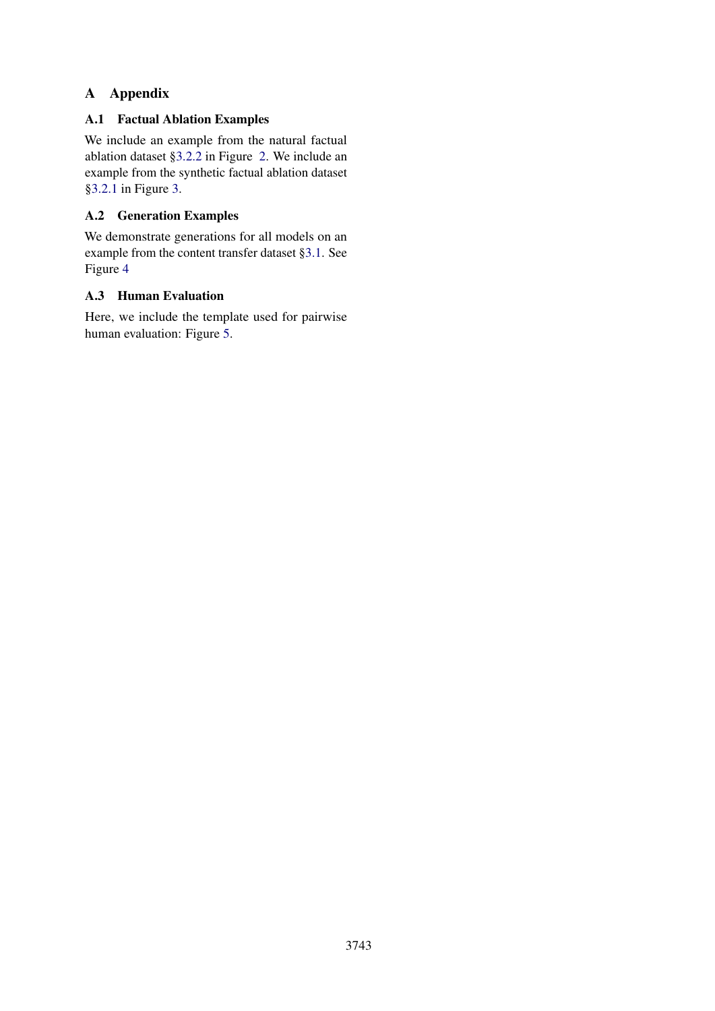# A Appendix

# A.1 Factual Ablation Examples

We include an example from the natural factual ablation dataset [§3.2.2](#page-4-1) in Figure [2.](#page-12-0) We include an example from the synthetic factual ablation dataset [§3.2.1](#page-3-1) in Figure [3.](#page-12-1)

# <span id="page-11-0"></span>A.2 Generation Examples

We demonstrate generations for all models on an example from the content transfer dataset [§3.1.](#page-2-0) See Figure [4](#page-13-0)

# A.3 Human Evaluation

Here, we include the template used for pairwise human evaluation: Figure [5.](#page-14-0)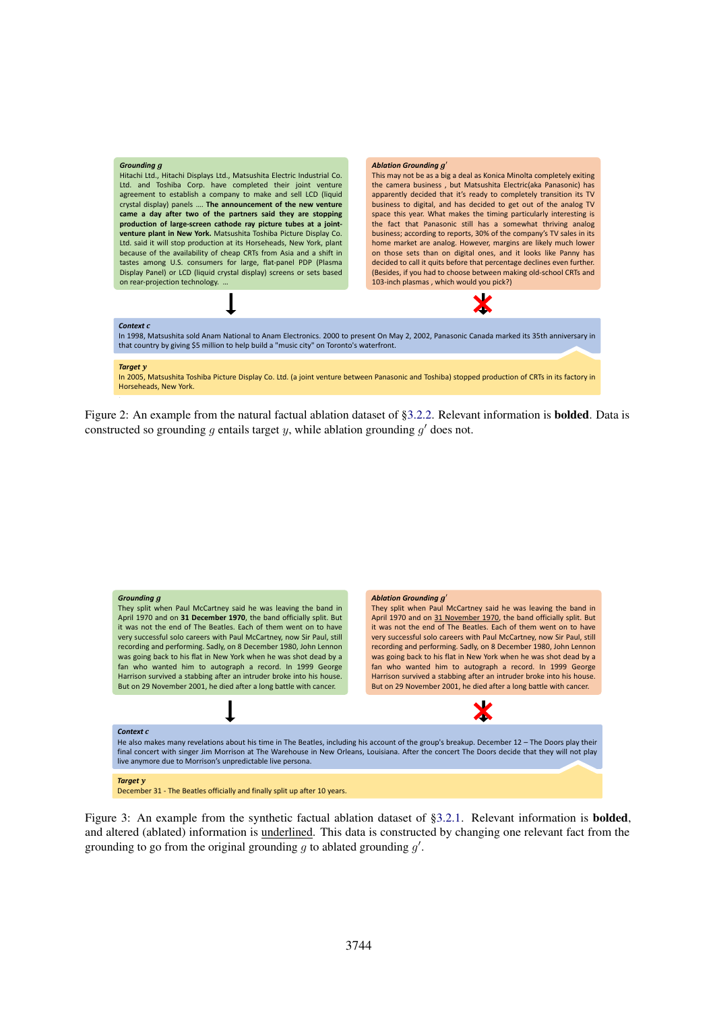<span id="page-12-0"></span>

Figure 2: An example from the natural factual ablation dataset of [§3.2.2.](#page-4-1) Relevant information is bolded. Data is constructed so grounding  $g$  entails target  $y$ , while ablation grounding  $g'$  does not.

<span id="page-12-1"></span>

Figure 3: An example from the synthetic factual ablation dataset of [§3.2.1.](#page-3-1) Relevant information is **bolded**, and altered (ablated) information is underlined. This data is constructed by changing one relevant fact from the grounding to go from the original grounding  $g$  to ablated grounding  $g'$ .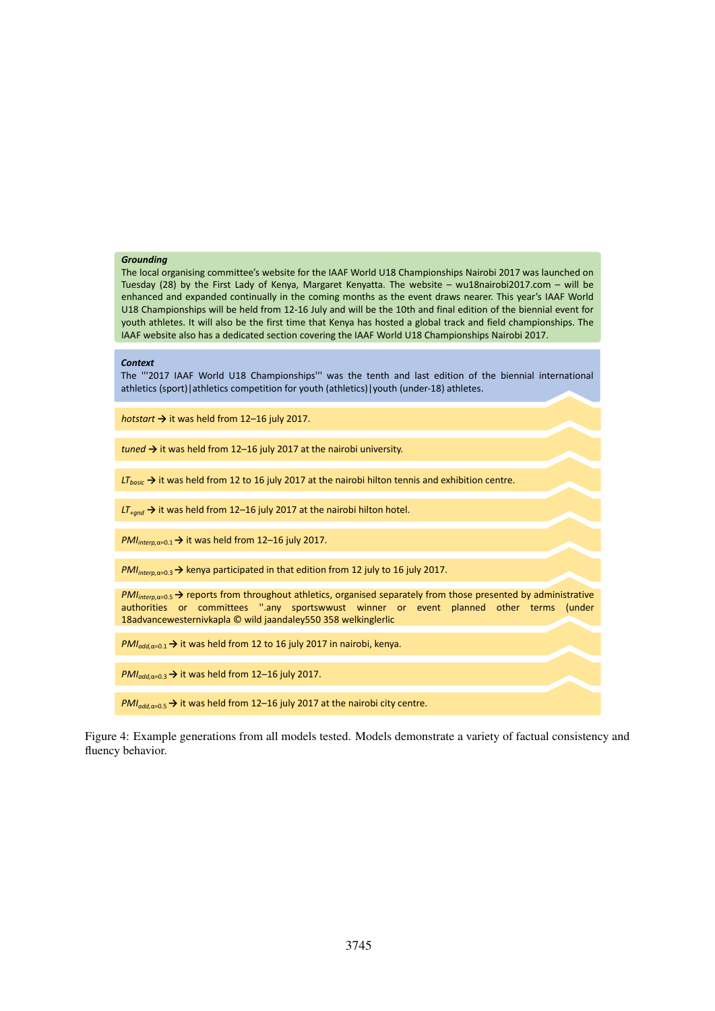#### <span id="page-13-0"></span>*Grounding*

The local organising committee's website for the IAAF World U18 Championships Nairobi 2017 was launched on Tuesday (28) by the First Lady of Kenya, Margaret Kenyatta. The website – wu18nairobi2017.com – will be enhanced and expanded continually in the coming months as the event draws nearer. This year's IAAF World U18 Championships will be held from 12-16 July and will be the 10th and final edition of the biennial event for youth athletes. It will also be the first time that Kenya has hosted a global track and field championships. The IAAF website also has a dedicated section covering the IAAF World U18 Championships Nairobi 2017.

#### *Context*

The '''2017 IAAF World U18 Championships''' was the tenth and last edition of the biennial international athletics (sport)|athletics competition for youth (athletics)|youth (under-18) athletes.

*hotstart →* it was held from 12–16 july 2017.

*tuned →* it was held from 12–16 july 2017 at the nairobi university.

*LT*<sub>basic</sub> → it was held from 12 to 16 july 2017 at the nairobi hilton tennis and exhibition centre.

*LT+gnd →* it was held from 12–16 july 2017 at the nairobi hilton hotel.

*PMI*<sub>interp,α=0,1</sub> → it was held from 12–16 july 2017.

*PMI<sub>interp,α=0.3</sub>* → kenya participated in that edition from 12 july to 16 july 2017.

*PMI<sub>interp,α=0.5* → reports from throughout athletics, organised separately from those presented by administrative</sub> authorities or committees ''.any sportswwust winner or event planned other terms (under 18advancewesternivkapla © wild jaandaley550 358 welkinglerlic

*PMI<sub>add,α=0.1</sub>* → it was held from 12 to 16 july 2017 in nairobi, kenya.

*PMI<sub>add a=0.3</sub>* → it was held from 12–16 july 2017.

*PMI<sub>add a=0.5</sub>* → it was held from 12–16 july 2017 at the nairobi city centre.

Figure 4: Example generations from all models tested. Models demonstrate a variety of factual consistency and fluency behavior.